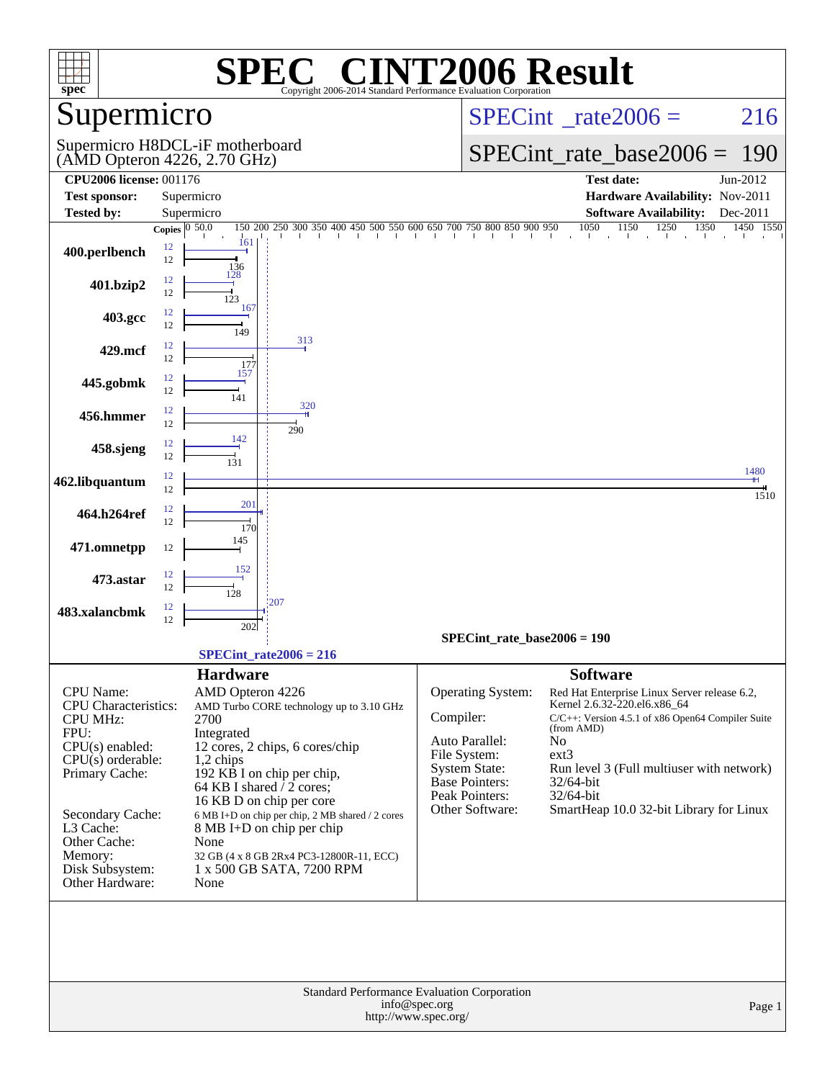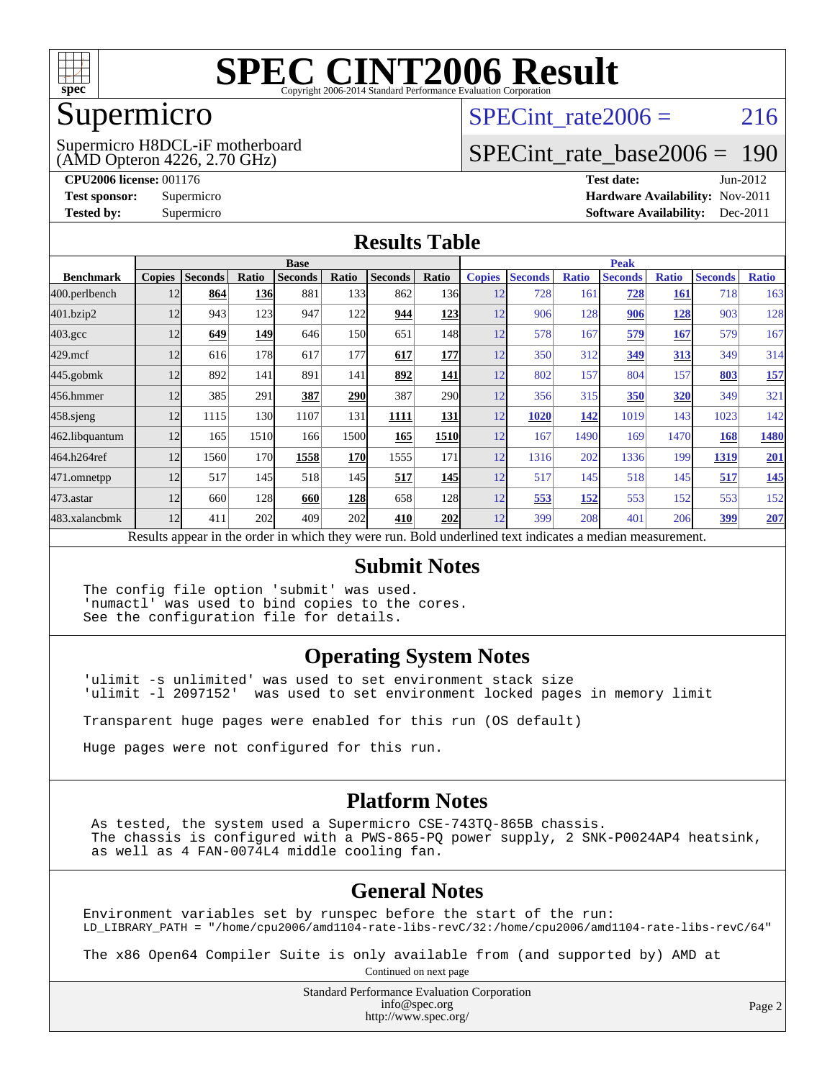

### Supermicro

(AMD Opteron 4226, 2.70 GHz) Supermicro H8DCL-iF motherboard SPECint rate  $2006 = 216$ 

### [SPECint\\_rate\\_base2006 =](http://www.spec.org/auto/cpu2006/Docs/result-fields.html#SPECintratebase2006) 190

**[CPU2006 license:](http://www.spec.org/auto/cpu2006/Docs/result-fields.html#CPU2006license)** 001176 **[Test date:](http://www.spec.org/auto/cpu2006/Docs/result-fields.html#Testdate)** Jun-2012 **[Test sponsor:](http://www.spec.org/auto/cpu2006/Docs/result-fields.html#Testsponsor)** Supermicro **[Hardware Availability:](http://www.spec.org/auto/cpu2006/Docs/result-fields.html#HardwareAvailability)** Nov-2011 **[Tested by:](http://www.spec.org/auto/cpu2006/Docs/result-fields.html#Testedby)** Supermicro **Supermicro [Software Availability:](http://www.spec.org/auto/cpu2006/Docs/result-fields.html#SoftwareAvailability)** Dec-2011

#### **[Results Table](http://www.spec.org/auto/cpu2006/Docs/result-fields.html#ResultsTable)**

|                                                                                                          | <b>Base</b>   |                |            |                | <b>Peak</b>     |                |            |               |                |              |                |              |                |              |
|----------------------------------------------------------------------------------------------------------|---------------|----------------|------------|----------------|-----------------|----------------|------------|---------------|----------------|--------------|----------------|--------------|----------------|--------------|
| <b>Benchmark</b>                                                                                         | <b>Copies</b> | <b>Seconds</b> | Ratio      | <b>Seconds</b> | Ratio           | <b>Seconds</b> | Ratio      | <b>Copies</b> | <b>Seconds</b> | <b>Ratio</b> | <b>Seconds</b> | <b>Ratio</b> | <b>Seconds</b> | <b>Ratio</b> |
| 400.perlbench                                                                                            | 12            | 864            | <b>136</b> | 881            | 133             | 862            | 136I       | 12            | 728            | 161          | 728            | <b>161</b>   | 718            | 163          |
| 401.bzip2                                                                                                | 12            | 943            | 123        | 947            | 122             | 944            | <u>123</u> | 12            | 906            | 128          | 906            | <u> 128</u>  | 903            | 128          |
| $403.\mathrm{gcc}$                                                                                       | 12            | 649            | 149        | 646            | 15 <sub>0</sub> | 651            | 148        | 12            | 578            | 167          | 579            | 167          | 579            | 167          |
| $429$ .mcf                                                                                               | 12            | 616            | 178        | 617            | 177             | 617            | <b>177</b> | 12            | 350            | 312          | 349            | 313          | 349            | 314          |
| $445$ .gobm $k$                                                                                          | 12            | 892            | 141        | 891            | 141             | 892            | 141        | 12            | 802            | 157          | 804            | 157          | 803            | 157          |
| 456.hmmer                                                                                                | 12            | 385            | 291        | 387            | <b>290</b>      | 387            | <b>290</b> | 12            | 356            | 315          | 350            | 320          | 349            | 321          |
| $458$ .sjeng                                                                                             | 12            | 1115           | <b>130</b> | 1107           | 131             | 1111           | <b>131</b> | 12            | 1020           | 142          | 1019           | 143          | 1023           | 142          |
| 462.libquantum                                                                                           | 12            | 165            | 1510       | 166            | 1500            | 165            | 1510       | 12            | 167            | 1490         | 169            | 1470         | 168            | 1480         |
| 464.h264ref                                                                                              | 12            | 1560           | 170        | 1558           | <b>170</b>      | 1555           | 171        | 12            | 1316           | 202          | 1336           | 199          | 1319           | 201          |
| 471.omnetpp                                                                                              | 12            | 517            | 145        | 518            | 145             | 517            | <b>145</b> | 12            | 517            | 145          | 518            | 145          | 517            | <u>145</u>   |
| 473.astar                                                                                                | 12            | 660            | 128        | 660            | <b>128</b>      | 658            | 128        | 12            | 553            | 152          | 553            | 152          | 553            | 152          |
| 483.xalancbmk                                                                                            | 12            | 411            | 202        | 409            | 202             | 410            | <b>202</b> | 12            | 399            | 208          | 401            | 206          | 399            | 207          |
| Results appear in the order in which they were run. Bold underlined text indicates a median measurement. |               |                |            |                |                 |                |            |               |                |              |                |              |                |              |

#### **[Submit Notes](http://www.spec.org/auto/cpu2006/Docs/result-fields.html#SubmitNotes)**

The config file option 'submit' was used. 'numactl' was used to bind copies to the cores. See the configuration file for details.

#### **[Operating System Notes](http://www.spec.org/auto/cpu2006/Docs/result-fields.html#OperatingSystemNotes)**

'ulimit -s unlimited' was used to set environment stack size 'ulimit -l 2097152' was used to set environment locked pages in memory limit

Transparent huge pages were enabled for this run (OS default)

Huge pages were not configured for this run.

### **[Platform Notes](http://www.spec.org/auto/cpu2006/Docs/result-fields.html#PlatformNotes)**

 As tested, the system used a Supermicro CSE-743TQ-865B chassis. The chassis is configured with a PWS-865-PQ power supply, 2 SNK-P0024AP4 heatsink, as well as 4 FAN-0074L4 middle cooling fan.

### **[General Notes](http://www.spec.org/auto/cpu2006/Docs/result-fields.html#GeneralNotes)**

Environment variables set by runspec before the start of the run: LD\_LIBRARY\_PATH = "/home/cpu2006/amd1104-rate-libs-revC/32:/home/cpu2006/amd1104-rate-libs-revC/64"

The x86 Open64 Compiler Suite is only available from (and supported by) AMD at Continued on next page

> Standard Performance Evaluation Corporation [info@spec.org](mailto:info@spec.org) <http://www.spec.org/>

Page 2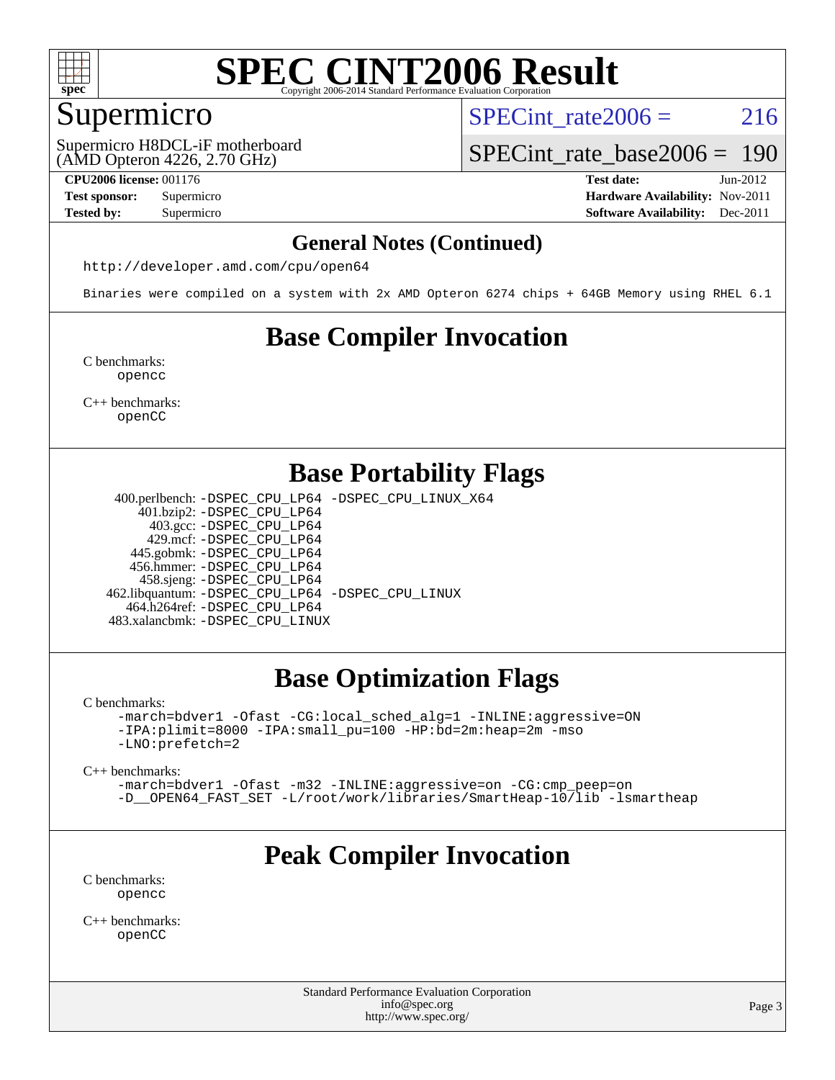

### Supermicro

(AMD Opteron 4226, 2.70 GHz) Supermicro H8DCL-iF motherboard SPECint rate  $2006 = 216$ 

[SPECint\\_rate\\_base2006 =](http://www.spec.org/auto/cpu2006/Docs/result-fields.html#SPECintratebase2006) 190

**[CPU2006 license:](http://www.spec.org/auto/cpu2006/Docs/result-fields.html#CPU2006license)** 001176 **[Test date:](http://www.spec.org/auto/cpu2006/Docs/result-fields.html#Testdate)** Jun-2012

**[Test sponsor:](http://www.spec.org/auto/cpu2006/Docs/result-fields.html#Testsponsor)** Supermicro **[Hardware Availability:](http://www.spec.org/auto/cpu2006/Docs/result-fields.html#HardwareAvailability)** Nov-2011 **[Tested by:](http://www.spec.org/auto/cpu2006/Docs/result-fields.html#Testedby)** Supermicro **Supermicro [Software Availability:](http://www.spec.org/auto/cpu2006/Docs/result-fields.html#SoftwareAvailability)** Dec-2011

### **[General Notes \(Continued\)](http://www.spec.org/auto/cpu2006/Docs/result-fields.html#GeneralNotes)**

<http://developer.amd.com/cpu/open64>

Binaries were compiled on a system with 2x AMD Opteron 6274 chips + 64GB Memory using RHEL 6.1

### **[Base Compiler Invocation](http://www.spec.org/auto/cpu2006/Docs/result-fields.html#BaseCompilerInvocation)**

[C benchmarks](http://www.spec.org/auto/cpu2006/Docs/result-fields.html#Cbenchmarks): [opencc](http://www.spec.org/cpu2006/results/res2012q3/cpu2006-20120711-23619.flags.html#user_CCbase_Fopencc)

[C++ benchmarks:](http://www.spec.org/auto/cpu2006/Docs/result-fields.html#CXXbenchmarks) [openCC](http://www.spec.org/cpu2006/results/res2012q3/cpu2006-20120711-23619.flags.html#user_CXXbase_FopenCC)

### **[Base Portability Flags](http://www.spec.org/auto/cpu2006/Docs/result-fields.html#BasePortabilityFlags)**

 400.perlbench: [-DSPEC\\_CPU\\_LP64](http://www.spec.org/cpu2006/results/res2012q3/cpu2006-20120711-23619.flags.html#b400.perlbench_basePORTABILITY_DSPEC_CPU_LP64) [-DSPEC\\_CPU\\_LINUX\\_X64](http://www.spec.org/cpu2006/results/res2012q3/cpu2006-20120711-23619.flags.html#b400.perlbench_baseCPORTABILITY_DSPEC_CPU_LINUX_X64) 401.bzip2: [-DSPEC\\_CPU\\_LP64](http://www.spec.org/cpu2006/results/res2012q3/cpu2006-20120711-23619.flags.html#suite_basePORTABILITY401_bzip2_DSPEC_CPU_LP64) 403.gcc: [-DSPEC\\_CPU\\_LP64](http://www.spec.org/cpu2006/results/res2012q3/cpu2006-20120711-23619.flags.html#suite_basePORTABILITY403_gcc_DSPEC_CPU_LP64) 429.mcf: [-DSPEC\\_CPU\\_LP64](http://www.spec.org/cpu2006/results/res2012q3/cpu2006-20120711-23619.flags.html#suite_basePORTABILITY429_mcf_DSPEC_CPU_LP64) 445.gobmk: [-DSPEC\\_CPU\\_LP64](http://www.spec.org/cpu2006/results/res2012q3/cpu2006-20120711-23619.flags.html#suite_basePORTABILITY445_gobmk_DSPEC_CPU_LP64) 456.hmmer: [-DSPEC\\_CPU\\_LP64](http://www.spec.org/cpu2006/results/res2012q3/cpu2006-20120711-23619.flags.html#suite_basePORTABILITY456_hmmer_DSPEC_CPU_LP64) 458.sjeng: [-DSPEC\\_CPU\\_LP64](http://www.spec.org/cpu2006/results/res2012q3/cpu2006-20120711-23619.flags.html#suite_basePORTABILITY458_sjeng_DSPEC_CPU_LP64) 462.libquantum: [-DSPEC\\_CPU\\_LP64](http://www.spec.org/cpu2006/results/res2012q3/cpu2006-20120711-23619.flags.html#suite_basePORTABILITY462_libquantum_DSPEC_CPU_LP64) [-DSPEC\\_CPU\\_LINUX](http://www.spec.org/cpu2006/results/res2012q3/cpu2006-20120711-23619.flags.html#b462.libquantum_baseCPORTABILITY_DSPEC_CPU_LINUX) 464.h264ref: [-DSPEC\\_CPU\\_LP64](http://www.spec.org/cpu2006/results/res2012q3/cpu2006-20120711-23619.flags.html#suite_basePORTABILITY464_h264ref_DSPEC_CPU_LP64) 483.xalancbmk: [-DSPEC\\_CPU\\_LINUX](http://www.spec.org/cpu2006/results/res2012q3/cpu2006-20120711-23619.flags.html#b483.xalancbmk_baseCXXPORTABILITY_DSPEC_CPU_LINUX)

### **[Base Optimization Flags](http://www.spec.org/auto/cpu2006/Docs/result-fields.html#BaseOptimizationFlags)**

[C benchmarks](http://www.spec.org/auto/cpu2006/Docs/result-fields.html#Cbenchmarks):

[-march=bdver1](http://www.spec.org/cpu2006/results/res2012q3/cpu2006-20120711-23619.flags.html#user_CCbase_F-march_fdb9f2653a6b3eaa60be4cf93a9ba5f3) [-Ofast](http://www.spec.org/cpu2006/results/res2012q3/cpu2006-20120711-23619.flags.html#user_CCbase_F-Ofast) [-CG:local\\_sched\\_alg=1](http://www.spec.org/cpu2006/results/res2012q3/cpu2006-20120711-23619.flags.html#user_CCbase_F-CG:local_sched_alg_2175ca61f1a2717f1ec57b14995b9e7a) [-INLINE:aggressive=ON](http://www.spec.org/cpu2006/results/res2012q3/cpu2006-20120711-23619.flags.html#user_CCbase_F-INLINE:aggressive_1968a21fda3b9e485676870015f71302) [-IPA:plimit=8000](http://www.spec.org/cpu2006/results/res2012q3/cpu2006-20120711-23619.flags.html#user_CCbase_F-IPA:plimit_92cba83f3d47f09c7d5368fda93ddbd7) [-IPA:small\\_pu=100](http://www.spec.org/cpu2006/results/res2012q3/cpu2006-20120711-23619.flags.html#user_CCbase_F-IPA:small_pu_900a09767c6929d55c26ea3d32399996) [-HP:bd=2m:heap=2m](http://www.spec.org/cpu2006/results/res2012q3/cpu2006-20120711-23619.flags.html#user_CCbase_F-HUGEPAGE_539c723a9f9bd1bd95cd839aeb740bae) [-mso](http://www.spec.org/cpu2006/results/res2012q3/cpu2006-20120711-23619.flags.html#user_CCbase_F-mso) [-LNO:prefetch=2](http://www.spec.org/cpu2006/results/res2012q3/cpu2006-20120711-23619.flags.html#user_CCbase_F-LNO:prefetch_9aee81855ba0592a3c8a40ba7b041143)

[C++ benchmarks:](http://www.spec.org/auto/cpu2006/Docs/result-fields.html#CXXbenchmarks)

[-march=bdver1](http://www.spec.org/cpu2006/results/res2012q3/cpu2006-20120711-23619.flags.html#user_CXXbase_F-march_fdb9f2653a6b3eaa60be4cf93a9ba5f3) [-Ofast](http://www.spec.org/cpu2006/results/res2012q3/cpu2006-20120711-23619.flags.html#user_CXXbase_F-Ofast) [-m32](http://www.spec.org/cpu2006/results/res2012q3/cpu2006-20120711-23619.flags.html#user_CXXbase_F-m32) [-INLINE:aggressive=on](http://www.spec.org/cpu2006/results/res2012q3/cpu2006-20120711-23619.flags.html#user_CXXbase_F-INLINE:aggressive_e14807c0a1e56a6a83cb25ab07c7ae8a) [-CG:cmp\\_peep=on](http://www.spec.org/cpu2006/results/res2012q3/cpu2006-20120711-23619.flags.html#user_CXXbase_F-CG:cmp_peep_ab90c979e95bee1f1f617a32622424ed) [-D\\_\\_OPEN64\\_FAST\\_SET](http://www.spec.org/cpu2006/results/res2012q3/cpu2006-20120711-23619.flags.html#user_CXXbase_F-D__OPEN64_FAST_SET_294c6d8260f208640e5474aae24dc22e) [-L/root/work/libraries/SmartHeap-10/lib -lsmartheap](http://www.spec.org/cpu2006/results/res2012q3/cpu2006-20120711-23619.flags.html#user_CXXbase_F-L_lib_directory_lsmartheap_85a76c4428362ddebb9fcf59329573fc)

### **[Peak Compiler Invocation](http://www.spec.org/auto/cpu2006/Docs/result-fields.html#PeakCompilerInvocation)**

[C benchmarks](http://www.spec.org/auto/cpu2006/Docs/result-fields.html#Cbenchmarks): [opencc](http://www.spec.org/cpu2006/results/res2012q3/cpu2006-20120711-23619.flags.html#user_CCpeak_Fopencc)

[C++ benchmarks:](http://www.spec.org/auto/cpu2006/Docs/result-fields.html#CXXbenchmarks) [openCC](http://www.spec.org/cpu2006/results/res2012q3/cpu2006-20120711-23619.flags.html#user_CXXpeak_FopenCC)

> Standard Performance Evaluation Corporation [info@spec.org](mailto:info@spec.org) <http://www.spec.org/>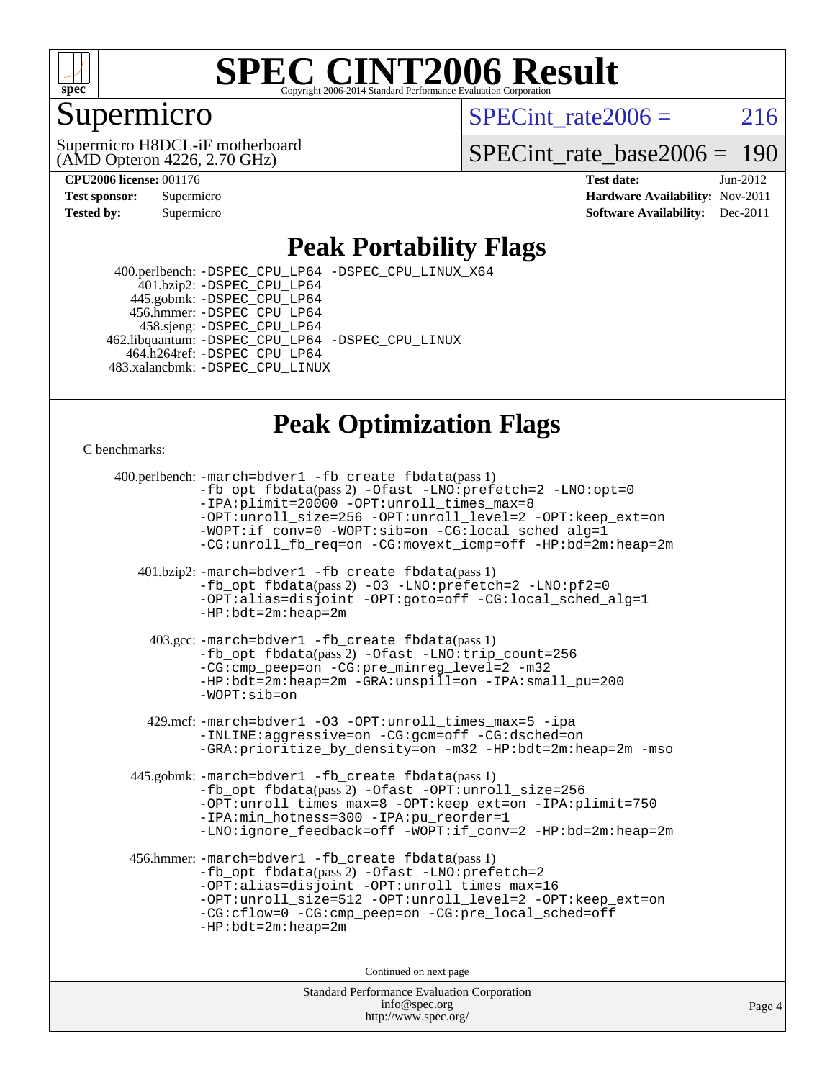

### Supermicro

SPECint\_rate $2006 = 216$ 

(AMD Opteron 4226, 2.70 GHz) Supermicro H8DCL-iF motherboard

[SPECint\\_rate\\_base2006 =](http://www.spec.org/auto/cpu2006/Docs/result-fields.html#SPECintratebase2006) 190

**[CPU2006 license:](http://www.spec.org/auto/cpu2006/Docs/result-fields.html#CPU2006license)** 001176 **[Test date:](http://www.spec.org/auto/cpu2006/Docs/result-fields.html#Testdate)** Jun-2012 **[Test sponsor:](http://www.spec.org/auto/cpu2006/Docs/result-fields.html#Testsponsor)** Supermicro **[Hardware Availability:](http://www.spec.org/auto/cpu2006/Docs/result-fields.html#HardwareAvailability)** Nov-2011 **[Tested by:](http://www.spec.org/auto/cpu2006/Docs/result-fields.html#Testedby)** Supermicro **Supermicro [Software Availability:](http://www.spec.org/auto/cpu2006/Docs/result-fields.html#SoftwareAvailability)** Dec-2011

### **[Peak Portability Flags](http://www.spec.org/auto/cpu2006/Docs/result-fields.html#PeakPortabilityFlags)**

 400.perlbench: [-DSPEC\\_CPU\\_LP64](http://www.spec.org/cpu2006/results/res2012q3/cpu2006-20120711-23619.flags.html#b400.perlbench_peakPORTABILITY_DSPEC_CPU_LP64) [-DSPEC\\_CPU\\_LINUX\\_X64](http://www.spec.org/cpu2006/results/res2012q3/cpu2006-20120711-23619.flags.html#b400.perlbench_peakCPORTABILITY_DSPEC_CPU_LINUX_X64) 401.bzip2: [-DSPEC\\_CPU\\_LP64](http://www.spec.org/cpu2006/results/res2012q3/cpu2006-20120711-23619.flags.html#suite_peakPORTABILITY401_bzip2_DSPEC_CPU_LP64) 445.gobmk: [-DSPEC\\_CPU\\_LP64](http://www.spec.org/cpu2006/results/res2012q3/cpu2006-20120711-23619.flags.html#suite_peakPORTABILITY445_gobmk_DSPEC_CPU_LP64) 456.hmmer: [-DSPEC\\_CPU\\_LP64](http://www.spec.org/cpu2006/results/res2012q3/cpu2006-20120711-23619.flags.html#suite_peakPORTABILITY456_hmmer_DSPEC_CPU_LP64) 458.sjeng: [-DSPEC\\_CPU\\_LP64](http://www.spec.org/cpu2006/results/res2012q3/cpu2006-20120711-23619.flags.html#suite_peakPORTABILITY458_sjeng_DSPEC_CPU_LP64) 462.libquantum: [-DSPEC\\_CPU\\_LP64](http://www.spec.org/cpu2006/results/res2012q3/cpu2006-20120711-23619.flags.html#suite_peakPORTABILITY462_libquantum_DSPEC_CPU_LP64) [-DSPEC\\_CPU\\_LINUX](http://www.spec.org/cpu2006/results/res2012q3/cpu2006-20120711-23619.flags.html#b462.libquantum_peakCPORTABILITY_DSPEC_CPU_LINUX) 464.h264ref: [-DSPEC\\_CPU\\_LP64](http://www.spec.org/cpu2006/results/res2012q3/cpu2006-20120711-23619.flags.html#suite_peakPORTABILITY464_h264ref_DSPEC_CPU_LP64) 483.xalancbmk: [-DSPEC\\_CPU\\_LINUX](http://www.spec.org/cpu2006/results/res2012q3/cpu2006-20120711-23619.flags.html#b483.xalancbmk_peakCXXPORTABILITY_DSPEC_CPU_LINUX)

### **[Peak Optimization Flags](http://www.spec.org/auto/cpu2006/Docs/result-fields.html#PeakOptimizationFlags)**

[C benchmarks](http://www.spec.org/auto/cpu2006/Docs/result-fields.html#Cbenchmarks):

 400.perlbench: [-march=bdver1](http://www.spec.org/cpu2006/results/res2012q3/cpu2006-20120711-23619.flags.html#user_peakCCLD400_perlbench_F-march_fdb9f2653a6b3eaa60be4cf93a9ba5f3) [-fb\\_create fbdata](http://www.spec.org/cpu2006/results/res2012q3/cpu2006-20120711-23619.flags.html#user_peakPASS1_CFLAGSPASS1_LDFLAGS400_perlbench_F-fb_create_filename)(pass 1) [-fb\\_opt fbdata](http://www.spec.org/cpu2006/results/res2012q3/cpu2006-20120711-23619.flags.html#user_peakPASS2_CFLAGSPASS2_LDFLAGS400_perlbench_F-fb_opt_filename)(pass 2) [-Ofast](http://www.spec.org/cpu2006/results/res2012q3/cpu2006-20120711-23619.flags.html#user_peakCOPTIMIZE400_perlbench_F-Ofast) [-LNO:prefetch=2](http://www.spec.org/cpu2006/results/res2012q3/cpu2006-20120711-23619.flags.html#user_peakCOPTIMIZE400_perlbench_F-LNO:prefetch_9aee81855ba0592a3c8a40ba7b041143) [-LNO:opt=0](http://www.spec.org/cpu2006/results/res2012q3/cpu2006-20120711-23619.flags.html#user_peakCOPTIMIZE400_perlbench_F-LNO:opt_b91e8b13d06f45039299c6496cc69a5f) [-IPA:plimit=20000](http://www.spec.org/cpu2006/results/res2012q3/cpu2006-20120711-23619.flags.html#user_peakCOPTIMIZE400_perlbench_F-IPA:plimit_89e6fd9421ace0d5dab294a0a1b8be33) -OPT:unroll times max=8 [-OPT:unroll\\_size=256](http://www.spec.org/cpu2006/results/res2012q3/cpu2006-20120711-23619.flags.html#user_peakCOPTIMIZE400_perlbench_F-OPT:unroll_size_dfa492f42f50f580c3837c8b22d14f27) [-OPT:unroll\\_level=2](http://www.spec.org/cpu2006/results/res2012q3/cpu2006-20120711-23619.flags.html#user_peakCOPTIMIZE400_perlbench_F-OPT:unroll_level_2cd767e66711a193dd7aad8ffe1e4d20) [-OPT:keep\\_ext=on](http://www.spec.org/cpu2006/results/res2012q3/cpu2006-20120711-23619.flags.html#user_peakCOPTIMIZE400_perlbench_F-OPT:keep_ext_4dbb9969188886aadf10437ce9577910) [-WOPT:if\\_conv=0](http://www.spec.org/cpu2006/results/res2012q3/cpu2006-20120711-23619.flags.html#user_peakCOPTIMIZE400_perlbench_F-WOPT:if_conv_3763321a358ff896b32d6152fd83e145) [-WOPT:sib=on](http://www.spec.org/cpu2006/results/res2012q3/cpu2006-20120711-23619.flags.html#user_peakCOPTIMIZE400_perlbench_F-WOPT:sib_922e769c7f0e2d4dff1b4919612a4b7b) [-CG:local\\_sched\\_alg=1](http://www.spec.org/cpu2006/results/res2012q3/cpu2006-20120711-23619.flags.html#user_peakCOPTIMIZE400_perlbench_F-CG:local_sched_alg_2175ca61f1a2717f1ec57b14995b9e7a) [-CG:unroll\\_fb\\_req=on](http://www.spec.org/cpu2006/results/res2012q3/cpu2006-20120711-23619.flags.html#user_peakCOPTIMIZE400_perlbench_F-CG:unroll_fb_req_6669f978801820a53c68eded7a4f0485) [-CG:movext\\_icmp=off](http://www.spec.org/cpu2006/results/res2012q3/cpu2006-20120711-23619.flags.html#user_peakCOPTIMIZE400_perlbench_F-CG:movext_icmp_460c980612b8c1bf4cfe85e9a0188f7b) [-HP:bd=2m:heap=2m](http://www.spec.org/cpu2006/results/res2012q3/cpu2006-20120711-23619.flags.html#user_peakCOPTIMIZE400_perlbench_F-HUGEPAGE_539c723a9f9bd1bd95cd839aeb740bae) 401.bzip2: [-march=bdver1](http://www.spec.org/cpu2006/results/res2012q3/cpu2006-20120711-23619.flags.html#user_peakCCLD401_bzip2_F-march_fdb9f2653a6b3eaa60be4cf93a9ba5f3) [-fb\\_create fbdata](http://www.spec.org/cpu2006/results/res2012q3/cpu2006-20120711-23619.flags.html#user_peakPASS1_CFLAGSPASS1_LDFLAGS401_bzip2_F-fb_create_filename)(pass 1) [-fb\\_opt fbdata](http://www.spec.org/cpu2006/results/res2012q3/cpu2006-20120711-23619.flags.html#user_peakPASS2_CFLAGSPASS2_LDFLAGS401_bzip2_F-fb_opt_filename)(pass 2) [-O3](http://www.spec.org/cpu2006/results/res2012q3/cpu2006-20120711-23619.flags.html#user_peakCOPTIMIZE401_bzip2_F-O3) [-LNO:prefetch=2](http://www.spec.org/cpu2006/results/res2012q3/cpu2006-20120711-23619.flags.html#user_peakCOPTIMIZE401_bzip2_F-LNO:prefetch_9aee81855ba0592a3c8a40ba7b041143) [-LNO:pf2=0](http://www.spec.org/cpu2006/results/res2012q3/cpu2006-20120711-23619.flags.html#user_peakCOPTIMIZE401_bzip2_F-LNO:pf2_07981756300a2e0b4788bc5b1051435b) [-OPT:alias=disjoint](http://www.spec.org/cpu2006/results/res2012q3/cpu2006-20120711-23619.flags.html#user_peakCOPTIMIZE401_bzip2_F-OPT:alias_af85d624bc8c113f27b06a81a9df063d) [-OPT:goto=off](http://www.spec.org/cpu2006/results/res2012q3/cpu2006-20120711-23619.flags.html#user_peakCOPTIMIZE401_bzip2_F-OPT:goto_b8760493db7ddb90acc865b6d90bb5de) [-CG:local\\_sched\\_alg=1](http://www.spec.org/cpu2006/results/res2012q3/cpu2006-20120711-23619.flags.html#user_peakCOPTIMIZE401_bzip2_F-CG:local_sched_alg_2175ca61f1a2717f1ec57b14995b9e7a) [-HP:bdt=2m:heap=2m](http://www.spec.org/cpu2006/results/res2012q3/cpu2006-20120711-23619.flags.html#user_peakCOPTIMIZE401_bzip2_F-HUGEPAGE_855e97383b49831f390a2af16fe7202f) 403.gcc: [-march=bdver1](http://www.spec.org/cpu2006/results/res2012q3/cpu2006-20120711-23619.flags.html#user_peakCCLD403_gcc_F-march_fdb9f2653a6b3eaa60be4cf93a9ba5f3) [-fb\\_create fbdata](http://www.spec.org/cpu2006/results/res2012q3/cpu2006-20120711-23619.flags.html#user_peakPASS1_CFLAGSPASS1_LDFLAGS403_gcc_F-fb_create_filename)(pass 1) [-fb\\_opt fbdata](http://www.spec.org/cpu2006/results/res2012q3/cpu2006-20120711-23619.flags.html#user_peakPASS2_CFLAGSPASS2_LDFLAGS403_gcc_F-fb_opt_filename)(pass 2) [-Ofast](http://www.spec.org/cpu2006/results/res2012q3/cpu2006-20120711-23619.flags.html#user_peakCOPTIMIZE403_gcc_F-Ofast) [-LNO:trip\\_count=256](http://www.spec.org/cpu2006/results/res2012q3/cpu2006-20120711-23619.flags.html#user_peakCOPTIMIZE403_gcc_F-LNO:trip_count_fda57506a3ecf9651535a9a8fb03b434) [-CG:cmp\\_peep=on](http://www.spec.org/cpu2006/results/res2012q3/cpu2006-20120711-23619.flags.html#user_peakCOPTIMIZE403_gcc_F-CG:cmp_peep_ab90c979e95bee1f1f617a32622424ed) [-CG:pre\\_minreg\\_level=2](http://www.spec.org/cpu2006/results/res2012q3/cpu2006-20120711-23619.flags.html#user_peakCOPTIMIZE403_gcc_F-CG:pre_minreg_level_7a4f6ecddb7c61e5a5fb2e3c8bb4dd9d) [-m32](http://www.spec.org/cpu2006/results/res2012q3/cpu2006-20120711-23619.flags.html#user_peakCOPTIMIZE403_gcc_F-m32) [-HP:bdt=2m:heap=2m](http://www.spec.org/cpu2006/results/res2012q3/cpu2006-20120711-23619.flags.html#user_peakCOPTIMIZE403_gcc_F-HUGEPAGE_855e97383b49831f390a2af16fe7202f) [-GRA:unspill=on](http://www.spec.org/cpu2006/results/res2012q3/cpu2006-20120711-23619.flags.html#user_peakCOPTIMIZE403_gcc_F-GRA:unspill_1a6c98043856890311246be72b057593) [-IPA:small\\_pu=200](http://www.spec.org/cpu2006/results/res2012q3/cpu2006-20120711-23619.flags.html#user_peakCOPTIMIZE403_gcc_F-IPA:small_pu_9e003d10925fc6bd9336e5337d9e3a22) [-WOPT:sib=on](http://www.spec.org/cpu2006/results/res2012q3/cpu2006-20120711-23619.flags.html#user_peakCOPTIMIZE403_gcc_F-WOPT:sib_922e769c7f0e2d4dff1b4919612a4b7b) 429.mcf: [-march=bdver1](http://www.spec.org/cpu2006/results/res2012q3/cpu2006-20120711-23619.flags.html#user_peakCCLD429_mcf_F-march_fdb9f2653a6b3eaa60be4cf93a9ba5f3) [-O3](http://www.spec.org/cpu2006/results/res2012q3/cpu2006-20120711-23619.flags.html#user_peakCOPTIMIZE429_mcf_F-O3) [-OPT:unroll\\_times\\_max=5](http://www.spec.org/cpu2006/results/res2012q3/cpu2006-20120711-23619.flags.html#user_peakCOPTIMIZE429_mcf_F-OPT:unroll_times_max_41568a7af56e14658911ef351ee37d74) [-ipa](http://www.spec.org/cpu2006/results/res2012q3/cpu2006-20120711-23619.flags.html#user_peakCOPTIMIZE429_mcf_F-ipa) [-INLINE:aggressive=on](http://www.spec.org/cpu2006/results/res2012q3/cpu2006-20120711-23619.flags.html#user_peakCOPTIMIZE429_mcf_F-INLINE:aggressive_e14807c0a1e56a6a83cb25ab07c7ae8a) [-CG:gcm=off](http://www.spec.org/cpu2006/results/res2012q3/cpu2006-20120711-23619.flags.html#user_peakCOPTIMIZE429_mcf_F-CG:gcm_3afc0477d086a9a9afc1ccea25488f06) [-CG:dsched=on](http://www.spec.org/cpu2006/results/res2012q3/cpu2006-20120711-23619.flags.html#user_peakCOPTIMIZE429_mcf_F-CG:dsched_25fd6bf9b1a971fa5ea06b24e400231d) [-GRA:prioritize\\_by\\_density=on](http://www.spec.org/cpu2006/results/res2012q3/cpu2006-20120711-23619.flags.html#user_peakCOPTIMIZE429_mcf_F-GRA:prioritize_by_density_342c4fb73fe18829f920373223f095a5) [-m32](http://www.spec.org/cpu2006/results/res2012q3/cpu2006-20120711-23619.flags.html#user_peakCOPTIMIZE429_mcf_F-m32) [-HP:bdt=2m:heap=2m](http://www.spec.org/cpu2006/results/res2012q3/cpu2006-20120711-23619.flags.html#user_peakCOPTIMIZE429_mcf_F-HUGEPAGE_855e97383b49831f390a2af16fe7202f) [-mso](http://www.spec.org/cpu2006/results/res2012q3/cpu2006-20120711-23619.flags.html#user_peakCOPTIMIZE429_mcf_F-mso) 445.gobmk: [-march=bdver1](http://www.spec.org/cpu2006/results/res2012q3/cpu2006-20120711-23619.flags.html#user_peakCCLD445_gobmk_F-march_fdb9f2653a6b3eaa60be4cf93a9ba5f3) [-fb\\_create fbdata](http://www.spec.org/cpu2006/results/res2012q3/cpu2006-20120711-23619.flags.html#user_peakPASS1_CFLAGSPASS1_LDFLAGS445_gobmk_F-fb_create_filename)(pass 1) [-fb\\_opt fbdata](http://www.spec.org/cpu2006/results/res2012q3/cpu2006-20120711-23619.flags.html#user_peakPASS2_CFLAGSPASS2_LDFLAGS445_gobmk_F-fb_opt_filename)(pass 2) [-Ofast](http://www.spec.org/cpu2006/results/res2012q3/cpu2006-20120711-23619.flags.html#user_peakCOPTIMIZE445_gobmk_F-Ofast) [-OPT:unroll\\_size=256](http://www.spec.org/cpu2006/results/res2012q3/cpu2006-20120711-23619.flags.html#user_peakCOPTIMIZE445_gobmk_F-OPT:unroll_size_dfa492f42f50f580c3837c8b22d14f27) [-OPT:unroll\\_times\\_max=8](http://www.spec.org/cpu2006/results/res2012q3/cpu2006-20120711-23619.flags.html#user_peakCOPTIMIZE445_gobmk_F-OPT:unroll_times_max_1ad8852298ca2c36a68b2d007aae0e22) [-OPT:keep\\_ext=on](http://www.spec.org/cpu2006/results/res2012q3/cpu2006-20120711-23619.flags.html#user_peakCOPTIMIZE445_gobmk_F-OPT:keep_ext_4dbb9969188886aadf10437ce9577910) [-IPA:plimit=750](http://www.spec.org/cpu2006/results/res2012q3/cpu2006-20120711-23619.flags.html#user_peakCOPTIMIZE445_gobmk_F-IPA:plimit_d12b7edf4800746ab824f3a01a8ce117) [-IPA:min\\_hotness=300](http://www.spec.org/cpu2006/results/res2012q3/cpu2006-20120711-23619.flags.html#user_peakCOPTIMIZE445_gobmk_F-IPA:min_hotness_a22c9a7839d9fc5b8df1b53fa3adec91) [-IPA:pu\\_reorder=1](http://www.spec.org/cpu2006/results/res2012q3/cpu2006-20120711-23619.flags.html#user_peakCOPTIMIZE445_gobmk_F-IPA:pu_reorder_05e26b42f44c94362cdc386b470e6fd6) [-LNO:ignore\\_feedback=off](http://www.spec.org/cpu2006/results/res2012q3/cpu2006-20120711-23619.flags.html#user_peakCOPTIMIZE445_gobmk_F-LNO:ignore_feedback_1d6d06f39185b277a955c10dfd0a9a73) [-WOPT:if\\_conv=2](http://www.spec.org/cpu2006/results/res2012q3/cpu2006-20120711-23619.flags.html#user_peakCOPTIMIZE445_gobmk_F-WOPT:if_conv_e8462f40aca1486d344ee41d7d72a1be) [-HP:bd=2m:heap=2m](http://www.spec.org/cpu2006/results/res2012q3/cpu2006-20120711-23619.flags.html#user_peakCOPTIMIZE445_gobmk_F-HUGEPAGE_539c723a9f9bd1bd95cd839aeb740bae) 456.hmmer: [-march=bdver1](http://www.spec.org/cpu2006/results/res2012q3/cpu2006-20120711-23619.flags.html#user_peakCCLD456_hmmer_F-march_fdb9f2653a6b3eaa60be4cf93a9ba5f3) [-fb\\_create fbdata](http://www.spec.org/cpu2006/results/res2012q3/cpu2006-20120711-23619.flags.html#user_peakPASS1_CFLAGSPASS1_LDFLAGS456_hmmer_F-fb_create_filename)(pass 1) [-fb\\_opt fbdata](http://www.spec.org/cpu2006/results/res2012q3/cpu2006-20120711-23619.flags.html#user_peakPASS2_CFLAGSPASS2_LDFLAGS456_hmmer_F-fb_opt_filename)(pass 2) [-Ofast](http://www.spec.org/cpu2006/results/res2012q3/cpu2006-20120711-23619.flags.html#user_peakCOPTIMIZE456_hmmer_F-Ofast) [-LNO:prefetch=2](http://www.spec.org/cpu2006/results/res2012q3/cpu2006-20120711-23619.flags.html#user_peakCOPTIMIZE456_hmmer_F-LNO:prefetch_9aee81855ba0592a3c8a40ba7b041143) [-OPT:alias=disjoint](http://www.spec.org/cpu2006/results/res2012q3/cpu2006-20120711-23619.flags.html#user_peakCOPTIMIZE456_hmmer_F-OPT:alias_af85d624bc8c113f27b06a81a9df063d) [-OPT:unroll\\_times\\_max=16](http://www.spec.org/cpu2006/results/res2012q3/cpu2006-20120711-23619.flags.html#user_peakCOPTIMIZE456_hmmer_F-OPT:unroll_times_max_5d3a7ea8aede02c15c5f97a188fc301e) [-OPT:unroll\\_size=512](http://www.spec.org/cpu2006/results/res2012q3/cpu2006-20120711-23619.flags.html#user_peakCOPTIMIZE456_hmmer_F-OPT:unroll_size_79cfbf3314b86bd6f3f6a82a9903ba97) [-OPT:unroll\\_level=2](http://www.spec.org/cpu2006/results/res2012q3/cpu2006-20120711-23619.flags.html#user_peakCOPTIMIZE456_hmmer_F-OPT:unroll_level_2cd767e66711a193dd7aad8ffe1e4d20) [-OPT:keep\\_ext=on](http://www.spec.org/cpu2006/results/res2012q3/cpu2006-20120711-23619.flags.html#user_peakCOPTIMIZE456_hmmer_F-OPT:keep_ext_4dbb9969188886aadf10437ce9577910) [-CG:cflow=0](http://www.spec.org/cpu2006/results/res2012q3/cpu2006-20120711-23619.flags.html#user_peakCOPTIMIZE456_hmmer_F-CG:cflow_75ba632a6a95410c488fc5f313a16b42) [-CG:cmp\\_peep=on](http://www.spec.org/cpu2006/results/res2012q3/cpu2006-20120711-23619.flags.html#user_peakCOPTIMIZE456_hmmer_F-CG:cmp_peep_ab90c979e95bee1f1f617a32622424ed) [-CG:pre\\_local\\_sched=off](http://www.spec.org/cpu2006/results/res2012q3/cpu2006-20120711-23619.flags.html#user_peakCOPTIMIZE456_hmmer_F-CG:pre_local_sched_7bb173f1e7fa183e34a713f624fd3d48) [-HP:bdt=2m:heap=2m](http://www.spec.org/cpu2006/results/res2012q3/cpu2006-20120711-23619.flags.html#user_peakCOPTIMIZE456_hmmer_F-HUGEPAGE_855e97383b49831f390a2af16fe7202f) Continued on next page

Standard Performance Evaluation Corporation [info@spec.org](mailto:info@spec.org) <http://www.spec.org/>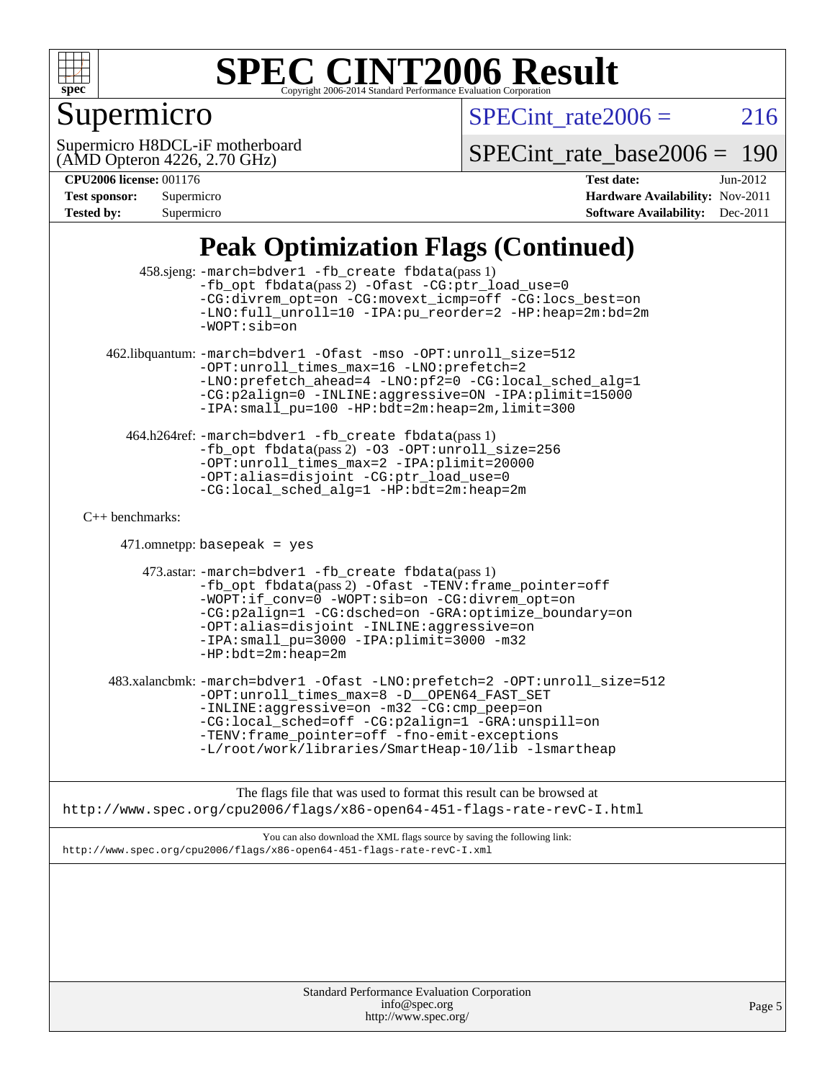

# **Supermicro**

 $SPECTnt_rate2006 = 216$ 

(AMD Opteron 4226, 2.70 GHz) Supermicro H8DCL-iF motherboard

[SPECint\\_rate\\_base2006 =](http://www.spec.org/auto/cpu2006/Docs/result-fields.html#SPECintratebase2006) 190

| <b>Tested by:</b> | Supermicro |
|-------------------|------------|
| Test sponsor:     | Supermicro |

**[CPU2006 license:](http://www.spec.org/auto/cpu2006/Docs/result-fields.html#CPU2006license)** 001176 **[Test date:](http://www.spec.org/auto/cpu2006/Docs/result-fields.html#Testdate)** Jun-2012 **[Hardware Availability:](http://www.spec.org/auto/cpu2006/Docs/result-fields.html#HardwareAvailability)** Nov-2011 **[Software Availability:](http://www.spec.org/auto/cpu2006/Docs/result-fields.html#SoftwareAvailability)** Dec-2011

### **[Peak Optimization Flags \(Continued\)](http://www.spec.org/auto/cpu2006/Docs/result-fields.html#PeakOptimizationFlags)**

|                      | $\sim$                                                                                                                                                                                                                                                                                                                                           |        |
|----------------------|--------------------------------------------------------------------------------------------------------------------------------------------------------------------------------------------------------------------------------------------------------------------------------------------------------------------------------------------------|--------|
|                      | 458.sjeng: -march=bdver1 -fb_create fbdata(pass 1)<br>-fb_opt fbdata(pass 2) -Ofast -CG:ptr_load_use=0<br>-CG:divrem_opt=on -CG:movext_icmp=off -CG:locs_best=on<br>-LNO:full_unroll=10 -IPA:pu_reorder=2 -HP:heap=2m:bd=2m<br>$-WOPT: sib=on$                                                                                                   |        |
|                      | 462.libquantum: -march=bdver1 -Ofast -mso -OPT:unroll_size=512<br>-OPT:unroll_times_max=16 -LNO:prefetch=2<br>-LNO:prefetch_ahead=4 -LNO:pf2=0 -CG:local_sched_alg=1<br>-CG:p2align=0 -INLINE:aggressive=ON -IPA:plimit=15000<br>-IPA: small_pu=100 -HP: bdt=2m: heap=2m, limit=300                                                              |        |
|                      | 464.h264ref: -march=bdver1 -fb_create fbdata(pass 1)<br>-fb_opt fbdata(pass 2) -03 -OPT:unroll_size=256<br>-OPT:unroll_times_max=2 -IPA:plimit=20000<br>-OPT:alias=disjoint -CG:ptr_load_use=0<br>-CG:local_sched_alg=1 -HP:bdt=2m:heap=2m                                                                                                       |        |
| $C_{++}$ benchmarks: |                                                                                                                                                                                                                                                                                                                                                  |        |
|                      | $471.$ omnetpp: basepeak = yes                                                                                                                                                                                                                                                                                                                   |        |
|                      | 473.astar: -march=bdver1 -fb_create fbdata(pass 1)<br>-fb_opt fbdata(pass 2) -Ofast -TENV: frame_pointer=off<br>$-WOPT$ : if conv=0 -WOPT: sib=on -CG: divrem opt=on<br>-CG:p2align=1 -CG:dsched=on -GRA:optimize_boundary=on<br>-OPT:alias=disjoint -INLINE:aggressive=on<br>-IPA: small_pu=3000 -IPA: plimit=3000 -m32<br>$-HP:bdt=2m:heap=2m$ |        |
|                      | 483.xalancbmk: -march=bdver1 -Ofast -LNO:prefetch=2 -OPT:unroll_size=512<br>-OPT:unroll_times_max=8 -D__OPEN64_FAST_SET<br>-INLINE:aggressive=on -m32 -CG:cmp_peep=on<br>-CG:local_sched=off -CG:p2align=1 -GRA:unspill=on<br>-TENV: frame_pointer=off -fno-emit-exceptions<br>-L/root/work/libraries/SmartHeap-10/lib -lsmartheap               |        |
|                      | The flags file that was used to format this result can be browsed at                                                                                                                                                                                                                                                                             |        |
|                      | http://www.spec.org/cpu2006/flags/x86-open64-451-flags-rate-revC-I.html                                                                                                                                                                                                                                                                          |        |
|                      | You can also download the XML flags source by saving the following link:<br>http://www.spec.org/cpu2006/flags/x86-open64-451-flags-rate-revC-I.xml                                                                                                                                                                                               |        |
|                      |                                                                                                                                                                                                                                                                                                                                                  |        |
|                      | <b>Standard Performance Evaluation Corporation</b><br>info@spec.org<br>http://www.spec.org/                                                                                                                                                                                                                                                      | Page 5 |
|                      |                                                                                                                                                                                                                                                                                                                                                  |        |